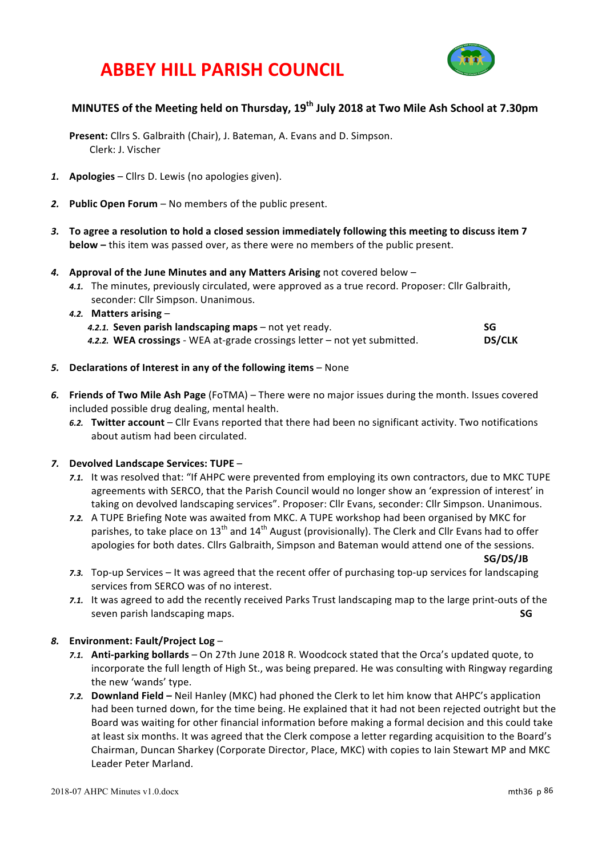



## **MINUTES** of the Meeting held on Thursday, 19<sup>th</sup> July 2018 at Two Mile Ash School at 7.30pm

**Present:** Cllrs S. Galbraith (Chair), J. Bateman, A. Evans and D. Simpson. Clerk: J. Vischer

- *1.* **Apologies** Cllrs D. Lewis (no apologies given).
- 2. **Public Open Forum** No members of the public present.
- 3. To agree a resolution to hold a closed session immediately following this meeting to discuss item 7 **below** – this item was passed over, as there were no members of the public present.
- 4. Approval of the June Minutes and any Matters Arising not covered below -
	- 4.1. The minutes, previously circulated, were approved as a true record. Proposer: Cllr Galbraith, seconder: Cllr Simpson. Unanimous.

| 4.2. Matters arising –                                                      |               |
|-----------------------------------------------------------------------------|---------------|
| 4.2.1. Seven parish landscaping maps – not yet ready.                       | SG            |
| 4.2.2. WEA crossings - WEA at-grade crossings letter $-$ not yet submitted. | <b>DS/CLK</b> |

- 5. **Declarations of Interest in any of the following items** None
- 6. Friends of Two Mile Ash Page (FoTMA) There were no major issues during the month. Issues covered included possible drug dealing, mental health.
	- 6.2. Twitter account Cllr Evans reported that there had been no significant activity. Two notifications about autism had been circulated.

#### *7.* **Devolved Landscape Services: TUPE** –

- 7.1. It was resolved that: "If AHPC were prevented from employing its own contractors, due to MKC TUPE agreements with SERCO, that the Parish Council would no longer show an 'expression of interest' in taking on devolved landscaping services". Proposer: Cllr Evans, seconder: Cllr Simpson. Unanimous.
- **7.2.** A TUPE Briefing Note was awaited from MKC. A TUPE workshop had been organised by MKC for parishes, to take place on 13<sup>th</sup> and 14<sup>th</sup> August (provisionally). The Clerk and Cllr Evans had to offer apologies for both dates. Cllrs Galbraith, Simpson and Bateman would attend one of the sessions.

**SG/DS/JB**

- 7.3. Top-up Services It was agreed that the recent offer of purchasing top-up services for landscaping services from SERCO was of no interest.
- *7.1.* It was agreed to add the recently received Parks Trust landscaping map to the large print-outs of the seven parish landscaping maps. **SG SG**

#### *8.* **Environment: Fault/Project Log** –

- 7.1. Anti-parking bollards On 27th June 2018 R. Woodcock stated that the Orca's updated quote, to incorporate the full length of High St., was being prepared. He was consulting with Ringway regarding the new 'wands' type.
- **7.2. Downland Field** Neil Hanley (MKC) had phoned the Clerk to let him know that AHPC's application had been turned down, for the time being. He explained that it had not been rejected outright but the Board was waiting for other financial information before making a formal decision and this could take at least six months. It was agreed that the Clerk compose a letter regarding acquisition to the Board's Chairman, Duncan Sharkey (Corporate Director, Place, MKC) with copies to Iain Stewart MP and MKC Leader Peter Marland.